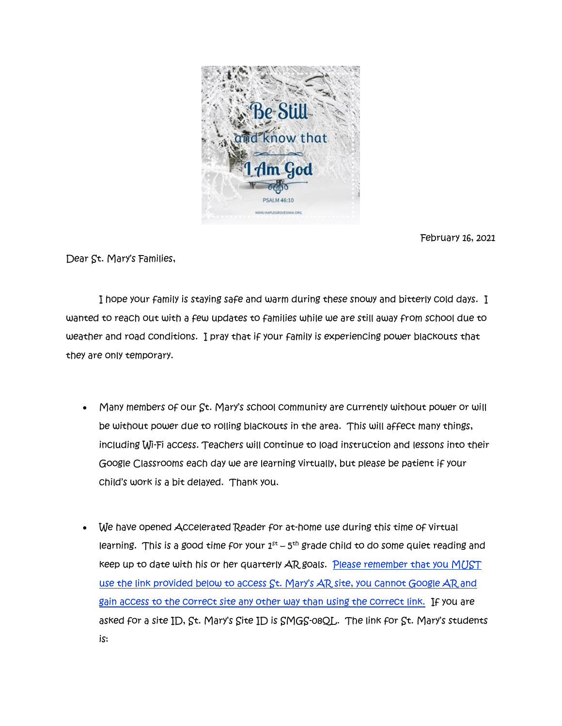

February 16, 2021

Dear St. Mary's Families,

 I hope your family is staying safe and warm during these snowy and bitterly cold days. I wanted to reach out with a few updates to families while we are still away from school due to weather and road conditions. I pray that if your family is experiencing power blackouts that they are only temporary.

- Many members of our St. Mary's school community are currently without power or will be without power due to rolling blackouts in the area. This will affect many things, including Wi-Fi access. Teachers will continue to load instruction and lessons into their Google Classrooms each day we are learning virtually, but please be patient if your child's work is a bit delayed. Thank you.
- We have opened Accelerated Reader for at-home use during this time of virtual learning. This is a good time for your  $1^\mathrm{st}$  –  $5^\mathrm{th}$  grade Child to do some quiet reading and keep up to date with his or her quarterly AR goals. Please remember that you MUST use the link provided below to access St. Mary's AR site, you cannot Google AR and gain access to the correct site any other way than using the correct link. If you are asked for a site ID, St. Mary's Site ID is SMGS-08QL. The link for St. Mary's students is: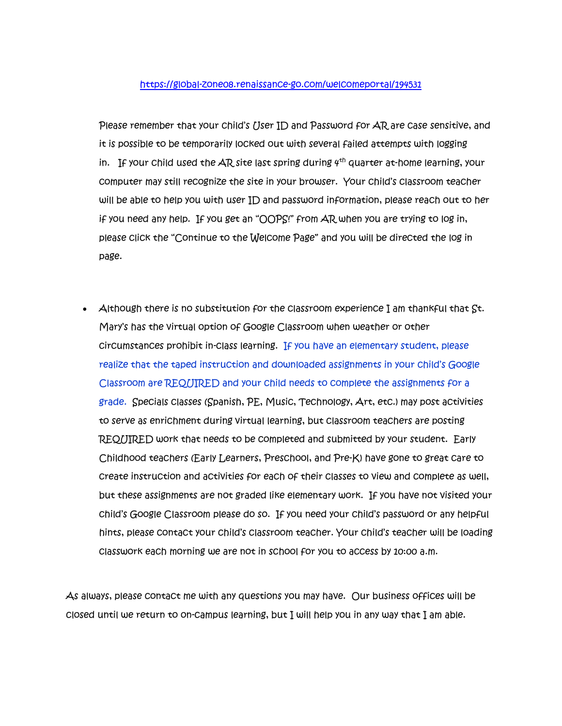## <https://global-zone08.renaissance-go.com/welcomeportal/194531>

Please remember that your child's User ID and Password for AR are case sensitive, and it is possible to be temporarily locked out with several failed attempts with logging in. If your child used the AR site last spring during  $4^{th}$  quarter at-home learning, your computer may still recognize the site in your browser. Your child's classroom teacher will be able to help you with user ID and password information, please reach out to her if you need any help. If you get an "OOPS!" from AR when you are trying to log in, please click the "Continue to the Welcome Page" and you will be directed the log in page.

Although there is no substitution for the classroom experience I am thankful that  $\mathsf{St}.$ Mary's has the virtual option of Google Classroom when weather or other circumstances prohibit in-class learning. If you have an elementary student, please realize that the taped instruction and downloaded assignments in your child's Google Classroom are REQUIRED and your child needs to complete the assignments for a grade. Specials classes (Spanish, PE, Music, Technology, Art, etc.) may post activities to serve as enrichment during virtual learning, but classroom teachers are posting REQUIRED work that needs to be completed and submitted by your student. Early Childhood teachers (Early Learners, Preschool, and Pre-K) have gone to great care to create instruction and activities for each of their classes to view and complete as well, but these assignments are not graded like elementary work. If you have not visited your child's Google Classroom please do so. If you need your child's password or any helpful hints, please contact your child's classroom teacher. Your child's teacher will be loading classwork each morning we are not in school for you to access by 10:00 a.m.

As always, please contact me with any questions you may have. Our business offices will be closed until we return to on-campus learning, but I will help you in any way that I am able.